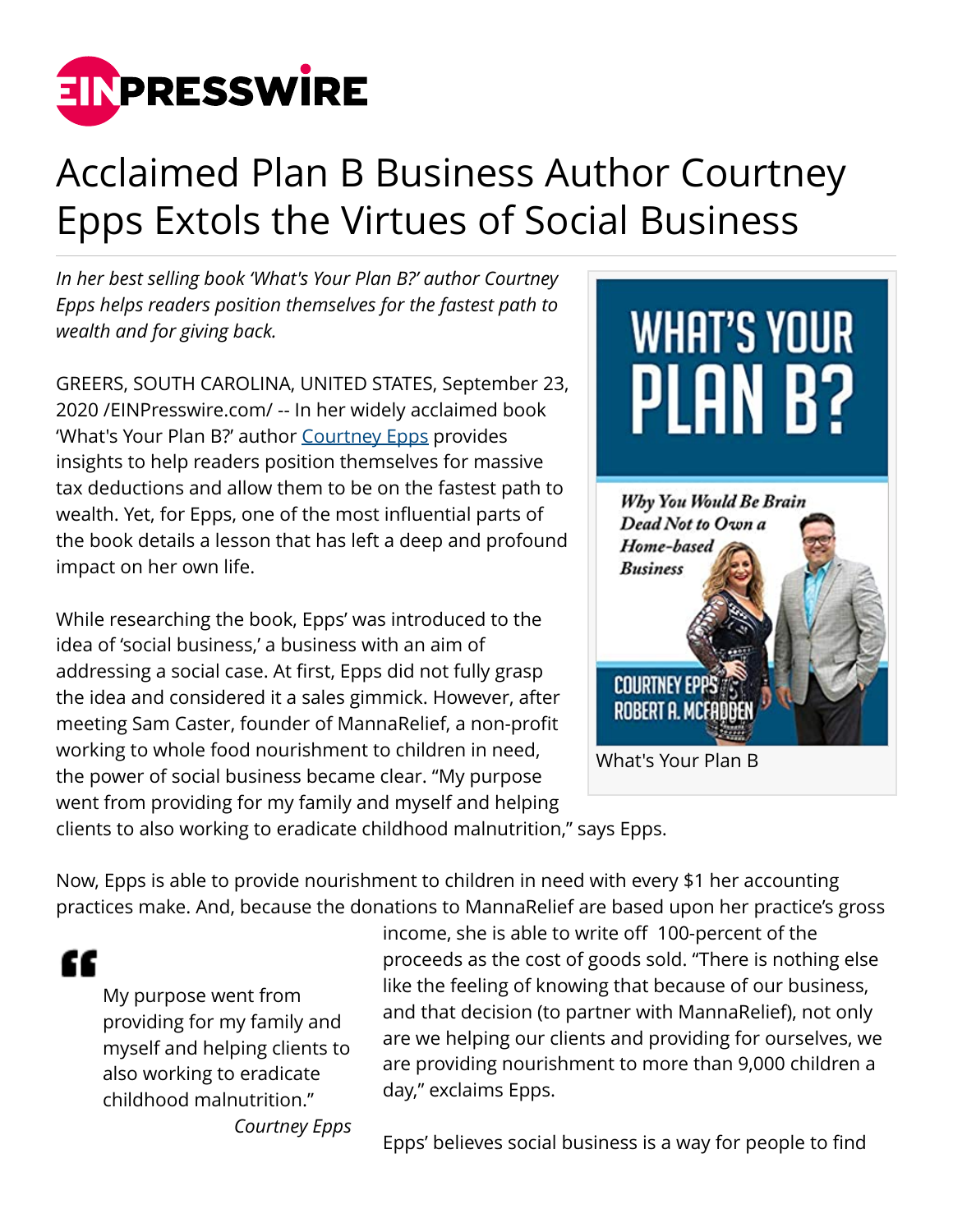

## Acclaimed Plan B Business Author Courtney Epps Extols the Virtues of Social Business

*In her best selling book 'What's Your Plan B?' author Courtney Epps helps readers position themselves for the fastest path to wealth and for giving back.*

GREERS, SOUTH CAROLINA, UNITED STATES, September 23, 2020 /[EINPresswire.com](http://www.einpresswire.com)/ -- In her widely acclaimed book 'What's Your Plan B?' author [Courtney Epps](https://courtneyepps.com) provides insights to help readers position themselves for massive tax deductions and allow them to be on the fastest path to wealth. Yet, for Epps, one of the most influential parts of the book details a lesson that has left a deep and profound impact on her own life.

While researching the book, Epps' was introduced to the idea of 'social business,' a business with an aim of addressing a social case. At first, Epps did not fully grasp the idea and considered it a sales gimmick. However, after meeting Sam Caster, founder of MannaRelief, a non-profit working to whole food nourishment to children in need, the power of social business became clear. "My purpose went from providing for my family and myself and helping



clients to also working to eradicate childhood malnutrition," says Epps.

Now, Epps is able to provide nourishment to children in need with every \$1 her accounting practices make. And, because the donations to MannaRelief are based upon her practice's gross

ſſ

My purpose went from providing for my family and myself and helping clients to also working to eradicate childhood malnutrition." *Courtney Epps* income, she is able to write off 100-percent of the proceeds as the cost of goods sold. "There is nothing else like the feeling of knowing that because of our business, and that decision (to partner with MannaRelief), not only are we helping our clients and providing for ourselves, we are providing nourishment to more than 9,000 children a day," exclaims Epps.

Epps' believes social business is a way for people to find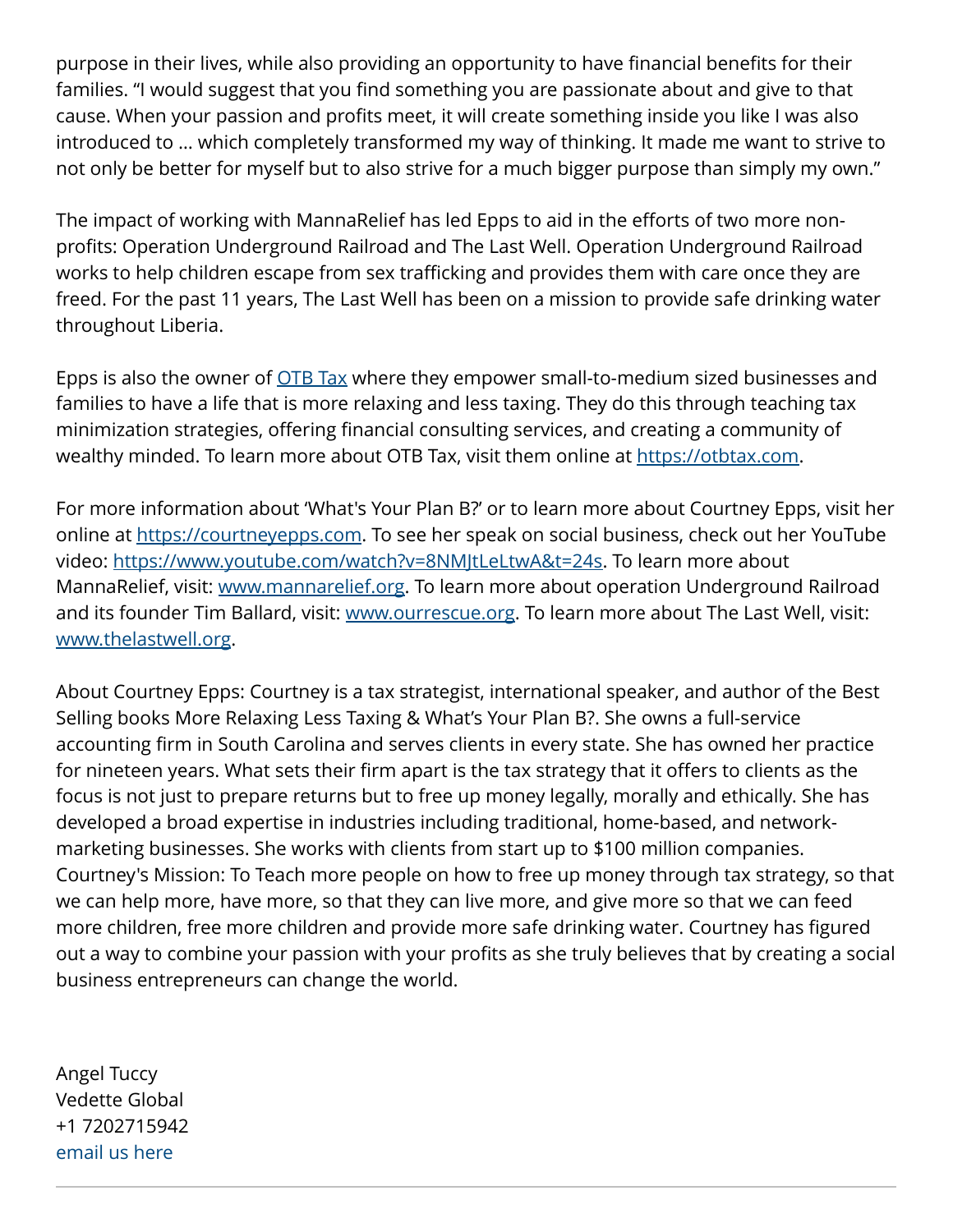purpose in their lives, while also providing an opportunity to have financial benefits for their families. "I would suggest that you find something you are passionate about and give to that cause. When your passion and profits meet, it will create something inside you like I was also introduced to … which completely transformed my way of thinking. It made me want to strive to not only be better for myself but to also strive for a much bigger purpose than simply my own."

The impact of working with MannaRelief has led Epps to aid in the efforts of two more nonprofits: Operation Underground Railroad and The Last Well. Operation Underground Railroad works to help children escape from sex trafficking and provides them with care once they are freed. For the past 11 years, The Last Well has been on a mission to provide safe drinking water throughout Liberia.

Epps is also the owner of **OTB Tax** where they empower small-to-medium sized businesses and families to have a life that is more relaxing and less taxing. They do this through teaching tax minimization strategies, offering financial consulting services, and creating a community of wealthy minded. To learn more about OTB Tax, visit them online at [https://otbtax.com.](https://otbtax.com)

For more information about 'What's Your Plan B?' or to learn more about Courtney Epps, visit her online at [https://courtneyepps.com.](https://courtneyepps.com) To see her speak on social business, check out her YouTube video: <https://www.youtube.com/watch?v=8NMJtLeLtwA&t=24s>. To learn more about MannaRelief, visit: [www.mannarelief.org](http://www.mannarelief.org). To learn more about operation Underground Railroad and its founder Tim Ballard, visit: [www.ourrescue.org.](http://www.ourrescue.org) To learn more about The Last Well, visit: [www.thelastwell.org.](http://www.thelastwell.org)

About Courtney Epps: Courtney is a tax strategist, international speaker, and author of the Best Selling books More Relaxing Less Taxing & What's Your Plan B?. She owns a full-service accounting firm in South Carolina and serves clients in every state. She has owned her practice for nineteen years. What sets their firm apart is the tax strategy that it offers to clients as the focus is not just to prepare returns but to free up money legally, morally and ethically. She has developed a broad expertise in industries including traditional, home-based, and networkmarketing businesses. She works with clients from start up to \$100 million companies. Courtney's Mission: To Teach more people on how to free up money through tax strategy, so that we can help more, have more, so that they can live more, and give more so that we can feed more children, free more children and provide more safe drinking water. Courtney has figured out a way to combine your passion with your profits as she truly believes that by creating a social business entrepreneurs can change the world.

Angel Tuccy Vedette Global +1 7202715942 [email us here](http://www.einpresswire.com/contact_author/2934543)